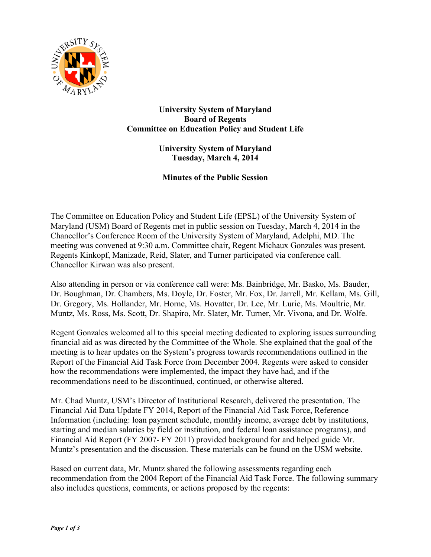

**University System of Maryland Board of Regents Committee on Education Policy and Student Life**

> **University System of Maryland Tuesday, March 4, 2014**

**Minutes of the Public Session**

The Committee on Education Policy and Student Life (EPSL) of the University System of Maryland (USM) Board of Regents met in public session on Tuesday, March 4, 2014 in the Chancellor's Conference Room of the University System of Maryland, Adelphi, MD. The meeting was convened at 9:30 a.m. Committee chair, Regent Michaux Gonzales was present. Regents Kinkopf, Manizade, Reid, Slater, and Turner participated via conference call. Chancellor Kirwan was also present.

Also attending in person or via conference call were: Ms. Bainbridge, Mr. Basko, Ms. Bauder, Dr. Boughman, Dr. Chambers, Ms. Doyle, Dr. Foster, Mr. Fox, Dr. Jarrell, Mr. Kellam, Ms. Gill, Dr. Gregory, Ms. Hollander, Mr. Horne, Ms. Hovatter, Dr. Lee, Mr. Lurie, Ms. Moultrie, Mr. Muntz, Ms. Ross, Ms. Scott, Dr. Shapiro, Mr. Slater, Mr. Turner, Mr. Vivona, and Dr. Wolfe.

Regent Gonzales welcomed all to this special meeting dedicated to exploring issues surrounding financial aid as was directed by the Committee of the Whole. She explained that the goal of the meeting is to hear updates on the System's progress towards recommendations outlined in the Report of the Financial Aid Task Force from December 2004. Regents were asked to consider how the recommendations were implemented, the impact they have had, and if the recommendations need to be discontinued, continued, or otherwise altered.

Mr. Chad Muntz, USM's Director of Institutional Research, delivered the presentation. The Financial Aid Data Update FY 2014, Report of the Financial Aid Task Force, Reference Information (including: loan payment schedule, monthly income, average debt by institutions, starting and median salaries by field or institution, and federal loan assistance programs), and Financial Aid Report (FY 2007- FY 2011) provided background for and helped guide Mr. Muntz's presentation and the discussion. These materials can be found on the USM website.

Based on current data, Mr. Muntz shared the following assessments regarding each recommendation from the 2004 Report of the Financial Aid Task Force. The following summary also includes questions, comments, or actions proposed by the regents: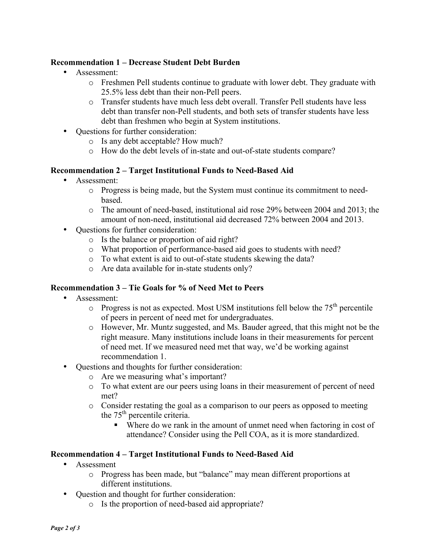# **Recommendation 1 – Decrease Student Debt Burden**

- Assessment:
	- o Freshmen Pell students continue to graduate with lower debt. They graduate with 25.5% less debt than their non-Pell peers.
	- o Transfer students have much less debt overall. Transfer Pell students have less debt than transfer non-Pell students, and both sets of transfer students have less debt than freshmen who begin at System institutions.
- Questions for further consideration:
	- o Is any debt acceptable? How much?
	- o How do the debt levels of in-state and out-of-state students compare?

## **Recommendation 2 – Target Institutional Funds to Need-Based Aid**

- Assessment:
	- o Progress is being made, but the System must continue its commitment to needbased.
	- o The amount of need-based, institutional aid rose 29% between 2004 and 2013; the amount of non-need, institutional aid decreased 72% between 2004 and 2013.
- Questions for further consideration:
	- o Is the balance or proportion of aid right?
	- o What proportion of performance-based aid goes to students with need?
	- o To what extent is aid to out-of-state students skewing the data?
	- o Are data available for in-state students only?

### **Recommendation 3 – Tie Goals for % of Need Met to Peers**

- Assessment:
	- $\circ$  Progress is not as expected. Most USM institutions fell below the 75<sup>th</sup> percentile of peers in percent of need met for undergraduates.
	- o However, Mr. Muntz suggested, and Ms. Bauder agreed, that this might not be the right measure. Many institutions include loans in their measurements for percent of need met. If we measured need met that way, we'd be working against recommendation 1.
- Questions and thoughts for further consideration:
	- o Are we measuring what's important?
	- o To what extent are our peers using loans in their measurement of percent of need met?
	- o Consider restating the goal as a comparison to our peers as opposed to meeting the 75<sup>th</sup> percentile criteria.
		- Where do we rank in the amount of unmet need when factoring in cost of attendance? Consider using the Pell COA, as it is more standardized.

### **Recommendation 4 – Target Institutional Funds to Need-Based Aid**

- Assessment
	- o Progress has been made, but "balance" may mean different proportions at different institutions.
- Question and thought for further consideration:
	- o Is the proportion of need-based aid appropriate?